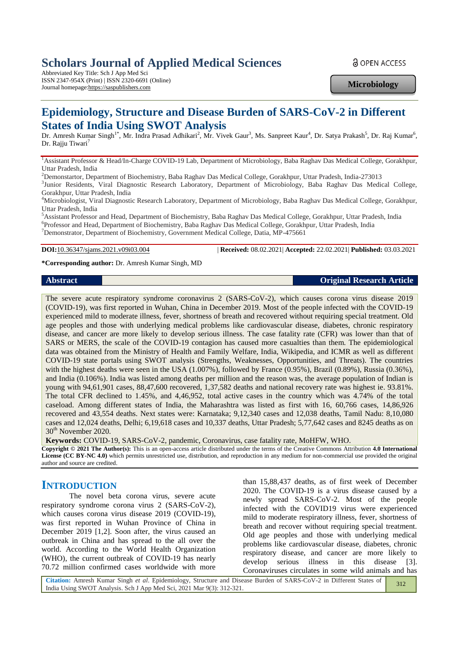# **Scholars Journal of Applied Medical Sciences**

Abbreviated Key Title: Sch J App Med Sci ISSN 2347-954X (Print) | ISSN 2320-6691 (Online) Journal homepage:https://saspublishers.com

**a** OPEN ACCESS

**Microbiology**

# **Epidemiology, Structure and Disease Burden of SARS-CoV-2 in Different States of India Using SWOT Analysis**

Dr. Amresh Kumar Singh<sup>1\*</sup>, Mr. Indra Prasad Adhikari<sup>2</sup>, Mr. Vivek Gaur<sup>3</sup>, Ms. Sanpreet Kaur<sup>4</sup>, Dr. Satya Prakash<sup>5</sup>, Dr. Raj Kumar<sup>6</sup>, Dr. Rajju Tiwari<sup>7</sup>

<sup>1</sup>Assistant Professor & Head/In-Charge COVID-19 Lab, Department of Microbiology, Baba Raghav Das Medical College, Gorakhpur, Uttar Pradesh, India

<sup>2</sup>Demonstartor, Department of Biochemistry, Baba Raghav Das Medical College, Gorakhpur, Uttar Pradesh, India-273013

<sup>3</sup>Junior Residents, Viral Diagnostic Research Laboratory, Department of Microbiology, Baba Raghav Das Medical College, Gorakhpur, Uttar Pradesh, India

<sup>4</sup>Microbiologist, Viral Diagnostic Research Laboratory, Department of Microbiology, Baba Raghav Das Medical College, Gorakhpur, Uttar Pradesh, India

<sup>5</sup>Assistant Professor and Head, Department of Biochemistry, Baba Raghav Das Medical College, Gorakhpur, Uttar Pradesh, India 6 Professor and Head, Department of Biochemistry, Baba Raghav Das Medical College, Gorakhpur, Uttar Pradesh, India <sup>7</sup>Demonstrator, Department of Biochemistry, Government Medical College, Datia, MP-475661

**DOI:**10.36347/sjams.2021.v09i03.004 | **Received:** 08.02.2021| **Accepted:** 22.02.2021| **Published:** 03.03.2021

**\*Corresponding author:** Dr. Amresh Kumar Singh, MD

### **Abstract Original Research Article**

The severe acute respiratory syndrome coronavirus 2 (SARS-CoV-2), which causes corona virus disease 2019 (COVID-19), was first reported in Wuhan, China in December 2019. Most of the people infected with the COVID-19 experienced mild to moderate illness, fever, shortness of breath and recovered without requiring special treatment. Old age peoples and those with underlying medical problems like cardiovascular disease, diabetes, chronic respiratory disease, and cancer are more likely to develop serious illness. The case fatality rate (CFR) was lower than that of SARS or MERS, the scale of the COVID-19 contagion has caused more casualties than them. The epidemiological data was obtained from the Ministry of Health and Family Welfare, India, Wikipedia, and ICMR as well as different COVID-19 state portals using SWOT analysis (Strengths, Weaknesses, Opportunities, and Threats). The countries with the highest deaths were seen in the USA (1.007%), followed by France (0.95%), Brazil (0.89%), Russia (0.36%), and India (0.106%). India was listed among deaths per million and the reason was, the average population of Indian is young with 94,61,901 cases, 88,47,600 recovered, 1,37,582 deaths and national recovery rate was highest ie. 93.81%. The total CFR declined to 1.45%, and 4,46,952, total active cases in the country which was 4.74% of the total caseload. Among different states of India, the Maharashtra was listed as first with 16, 60,766 cases, 14,86,926 recovered and 43,554 deaths. Next states were: Karnataka; 9,12,340 cases and 12,038 deaths, Tamil Nadu: 8,10,080 cases and 12,024 deaths, Delhi; 6,19,618 cases and 10,337 deaths, Uttar Pradesh; 5,77,642 cases and 8245 deaths as on 30<sup>th</sup> November 2020.

**Keywords:** COVID-19, SARS-CoV-2, pandemic, Coronavirus, case fatality rate, MoHFW, WHO.

**Copyright © 2021 The Author(s):** This is an open-access article distributed under the terms of the Creative Commons Attribution **4.0 International License (CC BY-NC 4.0)** which permits unrestricted use, distribution, and reproduction in any medium for non-commercial use provided the original author and source are credited.

## **INTRODUCTION**

The novel beta corona virus, severe acute respiratory syndrome corona virus 2 (SARS-CoV-2), which causes corona virus disease 2019 (COVID-19), was first reported in Wuhan Province of China in December 2019 [1,2]. Soon after, the virus caused an outbreak in China and has spread to the all over the world. According to the World Health Organization (WHO), the current outbreak of COVID-19 has nearly 70.72 million confirmed cases worldwide with more

than 15,88,437 deaths, as of first week of December 2020. The COVID-19 is a virus disease caused by a newly spread SARS-CoV-2. Most of the people infected with the COVID19 virus were experienced mild to moderate respiratory illness, fever, shortness of breath and recover without requiring special treatment. Old age peoples and those with underlying medical problems like cardiovascular disease, diabetes, chronic respiratory disease, and cancer are more likely to develop serious illness in this disease [3]. Coronaviruses circulates in some wild animals and has

**Citation:** Amresh Kumar Singh *et al*. Epidemiology, Structure and Disease Burden of SARS-CoV-2 in Different States of India Using SWOT Analysis. Sch J App Med Sci, 2021 Mar 9(3): 312-321. 312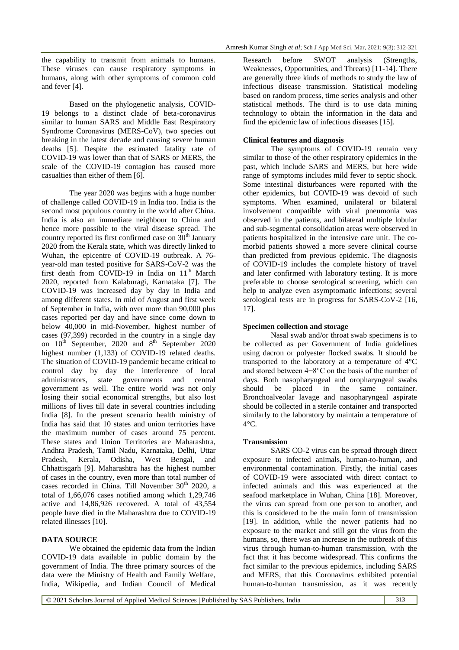the capability to transmit from animals to humans. These viruses can cause respiratory symptoms in humans, along with other symptoms of common cold and fever [4].

Based on the phylogenetic analysis, COVID-19 belongs to a distinct clade of beta-coronavirus similar to human SARS and Middle East Respiratory Syndrome Coronavirus (MERS-CoV), two species out breaking in the latest decade and causing severe human deaths [5]. Despite the estimated fatality rate of COVID-19 was lower than that of SARS or MERS, the scale of the COVID-19 contagion has caused more casualties than either of them [6].

The year 2020 was begins with a huge number of challenge called COVID-19 in India too. India is the second most populous country in the world after China. India is also an immediate neighbour to China and hence more possible to the viral disease spread. The country reported its first confirmed case on  $30<sup>th</sup>$  January 2020 from the Kerala state, which was directly linked to Wuhan, the epicentre of COVID-19 outbreak. A 76 year-old man tested positive for SARS-CoV-2 was the first death from COVID-19 in India on 11<sup>th</sup> March 2020, reported from Kalaburagi, Karnataka [7]. The COVID-19 was increased day by day in India and among different states. In mid of August and first week of September in India, with over more than 90,000 plus cases reported per day and have since come down to below 40,000 in mid-November, highest number of cases (97,399) recorded in the country in a single day on  $10^{th}$  September, 2020 and  $8^{th}$  September 2020 highest number (1,133) of COVID-19 related deaths. The situation of COVID-19 pandemic became critical to control day by day the interference of local administrators, state governments and central government as well. The entire world was not only losing their social economical strengths, but also lost millions of lives till date in several countries including India [8]. In the present scenario health ministry of India has said that 10 states and union territories have the maximum number of cases around 75 percent. These states and Union Territories are Maharashtra, Andhra Pradesh, Tamil Nadu, Karnataka, Delhi, Uttar Pradesh, Kerala, Odisha, West Bengal, and Chhattisgarh [9]. Maharashtra has the highest number of cases in the country, even more than total number of cases recorded in China. Till November  $30<sup>th</sup>$  2020, a total of 1,66,076 cases notified among which 1,29,746 active and 14,86,926 recovered. A total of 43,554 people have died in the Maharashtra due to COVID-19 related illnesses [10].

## **DATA SOURCE**

We obtained the epidemic data from the Indian COVID-19 data available in public domain by the government of India. The three primary sources of the data were the Ministry of Health and Family Welfare, India, Wikipedia, and Indian Council of Medical Research before SWOT analysis (Strengths, Weaknesses, Opportunities, and Threats) [11-14]. There are generally three kinds of methods to study the law of infectious disease transmission. Statistical modeling based on random process, time series analysis and other statistical methods. The third is to use data mining technology to obtain the information in the data and find the epidemic law of infectious diseases [15].

## **Clinical features and diagnosis**

The symptoms of COVID-19 remain very similar to those of the other respiratory epidemics in the past, which include SARS and MERS, but here wide range of symptoms includes mild fever to septic shock. Some intestinal disturbances were reported with the other epidemics, but COVID-19 was devoid of such symptoms. When examined, unilateral or bilateral involvement compatible with viral pneumonia was observed in the patients, and bilateral multiple lobular and sub-segmental consolidation areas were observed in patients hospitalized in the intensive care unit. The comorbid patients showed a more severe clinical course than predicted from previous epidemic. The diagnosis of COVID-19 includes the complete history of travel and later confirmed with laboratory testing. It is more preferable to choose serological screening, which can help to analyze even asymptomatic infections; several serological tests are in progress for SARS-CoV-2 [16, 17].

#### **Specimen collection and storage**

Nasal swab and/or throat swab specimens is to be collected as per Government of India guidelines using dacron or polyester flocked swabs. It should be transported to the laboratory at a temperature of 4°C and stored between 4−8°C on the basis of the number of days. Both nasopharyngeal and oropharyngeal swabs should be placed in the same container. Bronchoalveolar lavage and nasopharyngeal aspirate should be collected in a sterile container and transported similarly to the laboratory by maintain a temperature of  $4^{\circ}C$ .

#### **Transmission**

SARS CO-2 virus can be spread through direct exposure to infected animals, human-to-human, and environmental contamination. Firstly, the initial cases of COVID-19 were associated with direct contact to infected animals and this was experienced at the seafood marketplace in Wuhan, China [18]. Moreover, the virus can spread from one person to another, and this is considered to be the main form of transmission [19]. In addition, while the newer patients had no exposure to the market and still got the virus from the humans, so, there was an increase in the outbreak of this virus through human-to-human transmission, with the fact that it has become widespread. This confirms the fact similar to the previous epidemics, including SARS and MERS, that this Coronavirus exhibited potential human-to-human transmission, as it was recently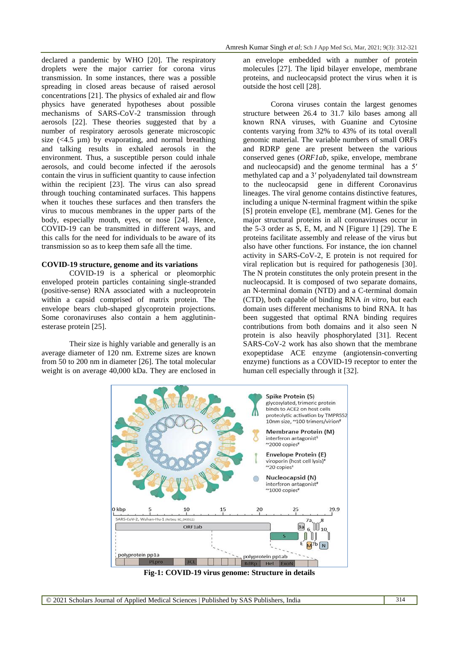declared a pandemic by WHO [20]. The respiratory droplets were the major carrier for corona virus transmission. In some instances, there was a possible spreading in closed areas because of raised aerosol concentrations [21]. The physics of exhaled air and flow physics have generated hypotheses about possible mechanisms of SARS-CoV-2 transmission through aerosols [22]. These theories suggested that by a number of respiratory aerosols generate microscopic size  $\left(\langle 4.5 \text{ \mu m}\right)$  by evaporating, and normal breathing and talking results in exhaled aerosols in the environment. Thus, a susceptible person could inhale aerosols, and could become infected if the aerosols contain the virus in sufficient quantity to cause infection within the recipient [23]. The virus can also spread through touching contaminated surfaces. This happens when it touches these surfaces and then transfers the virus to mucous membranes in the upper parts of the body, especially mouth, eyes, or nose [24]. Hence, COVID-19 can be transmitted in different ways, and this calls for the need for individuals to be aware of its transmission so as to keep them safe all the time.

## **COVID-19 structure, genome and its variations**

COVID-19 is a spherical or pleomorphic enveloped protein particles containing single-stranded (positive-sense) RNA associated with a nucleoprotein within a capsid comprised of matrix protein. The envelope bears club-shaped glycoprotein projections. Some coronaviruses also contain a hem agglutininesterase protein [25].

Their size is highly variable and generally is an average diameter of 120 [nm.](https://en.wikipedia.org/wiki/Nanometre) Extreme sizes are known from 50 to 200 nm in diameter [26]. The total molecular weight is on average 40,000 [kDa.](https://en.wikipedia.org/wiki/Dalton_(unit)) They are enclosed in

an envelope embedded with a number of protein molecules [27]. The lipid bilayer envelope, membrane proteins, and nucleocapsid protect the virus when it is outside the host cell [28].

Corona viruses contain the largest genomes structure between 26.4 to 31.7 [kilo bases](https://en.wikipedia.org/wiki/Kilobase#Length_measurements) among all known RNA viruses, with Guanine and Cytosine contents varying from 32% to 43% of its total overall genomic material. The variable numbers of small ORFs and RDRP gene are present between the various conserved genes (*ORF1ab*, spike, envelope, membrane and nucleocapsid) and the genome terminal has a [5′](https://en.wikipedia.org/wiki/Five-prime_cap)  [methylated cap](https://en.wikipedia.org/wiki/Five-prime_cap) and a [3′ polyadenylated tail](https://en.wikipedia.org/wiki/Polyadenylation) downstream to the nucleocapsid gene in different Coronavirus lineages. The viral genome contains distinctive features, including a unique N-terminal fragment within the spike [S] protein envelope (E], membrane (M]. Genes for the major structural proteins in all coronaviruses occur in the 5-3 order as  $S$ , E, M, and N [Figure 1] [29]. The E proteins facilitate assembly and release of the virus but also have other functions. For instance, the ion channel activity in SARS-CoV-2, E protein is not required for viral replication but is required for pathogenesis [30]. The N protein constitutes the only protein present in the nucleocapsid. It is composed of two separate domains, an N-terminal domain (NTD) and a C-terminal domain (CTD), both capable of binding RNA *in vitro*, but each domain uses different mechanisms to bind RNA. It has been suggested that optimal RNA binding requires contributions from both domains and it also seen N protein is also heavily phosphorylated [31]. Recent SARS-CoV-2 work has also shown that the membrane exopeptidase ACE enzyme (angiotensin-converting enzyme) functions as a COVID-19 receptor to enter the human cell especially through it [32].



**Fig-1: COVID-19 virus genome: Structure in details**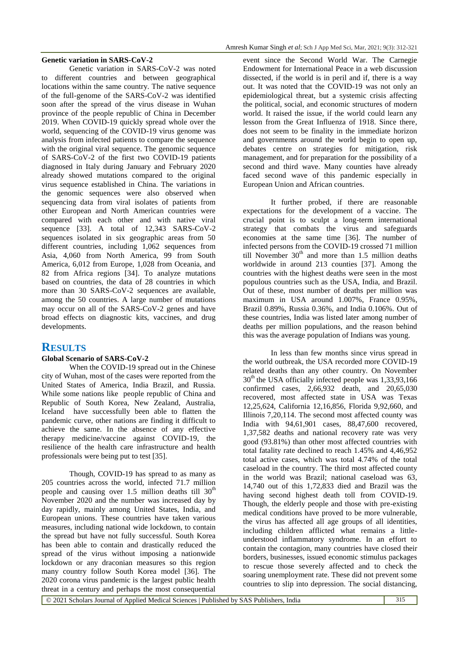### **Genetic variation in SARS-CoV-2**

Genetic variation in SARS-CoV-2 was noted to different countries and between geographical locations within the same country. The native sequence of the full-genome of the SARS-CoV-2 was identified soon after the spread of the virus disease in Wuhan province of the people republic of China in December 2019. When COVID-19 quickly spread whole over the world, sequencing of the COVID-19 virus genome was analysis from infected patients to compare the sequence with the original viral sequence. The genomic sequence of SARS-CoV-2 of the first two COVID-19 patients diagnosed in Italy during January and February 2020 already showed mutations compared to the original virus sequence established in China. The variations in the genomic sequences were also observed when sequencing data from viral isolates of patients from other European and North American countries were compared with each other and with native viral sequence [33]. A total of 12,343 SARS-CoV-2 sequences isolated in six geographic areas from 50 different countries, including 1,062 sequences from Asia, 4,060 from North America, 99 from South America, 6,012 from Europe, 1,028 from Oceania, and 82 from Africa regions [34]. To analyze mutations based on countries, the data of 28 countries in which more than 30 SARS-CoV-2 sequences are available, among the 50 countries. A large number of mutations may occur on all of the SARS-CoV-2 genes and have broad effects on diagnostic kits, vaccines, and drug developments.

## **RESULTS**

## **Global Scenario of SARS-CoV-2**

When the COVID-19 spread out in the Chinese city of Wuhan, most of the cases were reported from the United States of America, India Brazil, and Russia. While some nations like people republic of China and Republic of South Korea, New Zealand, Australia, Iceland have successfully been able to flatten the pandemic curve, other nations are finding it difficult to achieve the same. In the absence of any effective therapy medicine/vaccine against COVID-19, the resilience of the health care infrastructure and health professionals were being put to test [35].

Though, COVID-19 has spread to as many as 205 countries across the world, infected 71.7 million people and causing over 1.5 million deaths till  $30<sup>th</sup>$ November 2020 and the number was increased day by day rapidly, mainly among United States, India, and European unions. These countries have taken various measures, including national wide lockdown, to contain the spread but have not fully successful. South Korea has been able to contain and drastically reduced the spread of the virus without imposing a nationwide lockdown or any draconian measures so this region many country follow South Korea model [36]. The 2020 corona virus pandemic is the largest public health threat in a century and perhaps the most consequential

event since the Second World War. The Carnegie Endowment for International Peace in a web discussion dissected, if the world is in peril and if, there is a way out. It was noted that the COVID-19 was not only an epidemiological threat, but a systemic crisis affecting the political, social, and economic structures of modern world. It raised the issue, if the world could learn any lesson from the Great Influenza of 1918. Since there, does not seem to be finality in the immediate horizon and governments around the world begin to open up, debates centre on strategies for mitigation, risk management, and for preparation for the possibility of a second and third wave. Many counties have already faced second wave of this pandemic especially in European Union and African countries.

It further probed, if there are reasonable expectations for the development of a vaccine. The crucial point is to sculpt a long-term international strategy that combats the virus and safeguards economies at the same time [36]. The number of infected persons from the COVID-19 crossed 71 million till November  $30<sup>th</sup>$  and more than 1.5 million deaths worldwide in around 213 counties [37]. Among the countries with the highest deaths were seen in the most populous countries such as the USA, India, and Brazil. Out of these, most number of deaths per million was maximum in USA around 1.007%, France 0.95%, Brazil 0.89%, Russia 0.36%, and India 0.106%. Out of these countries, India was listed later among number of deaths per million populations, and the reason behind this was the average population of Indians was young.

In less than few months since virus spread in the world outbreak, the USA recorded more COVID-19 related deaths than any other country. On November  $30<sup>th</sup>$  the USA officially infected people was 1,33,93,166 confirmed cases, 2,66,932 death, and 20,65,030 recovered, most affected state in USA was Texas 12,25,624, California 12,16,856, Florida 9,92,660, and Illinois 7,20,114. The second most affected county was India with 94,61,901 cases, 88,47,600 recovered, 1,37,582 deaths and national recovery rate was very good (93.81%) than other most affected countries with total fatality rate declined to reach 1.45% and 4,46,952 total active cases, which was total 4.74% of the total caseload in the country. The third most affected county in the world was Brazil; national caseload was 63, 14,740 out of this 1,72,833 died and Brazil was the having second highest death toll from COVID-19. Though, the elderly people and those with pre-existing medical conditions have proved to be more vulnerable, the virus has affected all age groups of all identities, including children afflicted what remains a littleunderstood inflammatory syndrome. In an effort to contain the contagion, many countries have closed their borders, businesses, issued economic stimulus packages to rescue those severely affected and to check the soaring unemployment rate. These did not prevent some countries to slip into depression. The social distancing,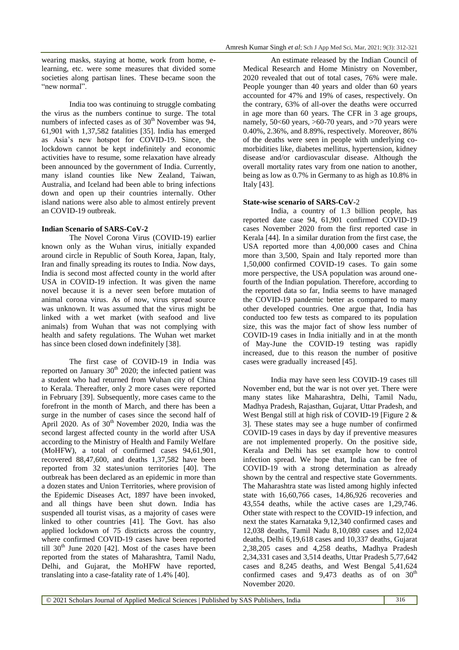wearing masks, staying at home, work from home, elearning, etc. were some measures that divided some societies along partisan lines. These became soon the "new normal".

India too was continuing to struggle combating the virus as the numbers continue to surge. The total numbers of infected cases as of 30<sup>th</sup> November was 94, 61,901 with 1,37,582 fatalities [35]. India has emerged as Asia's new hotspot for COVID-19. Since, the lockdown cannot be kept indefinitely and economic activities have to resume, some relaxation have already been announced by the government of India. Currently, many island counties like [New Zealand,](https://ourworldindata.org/coronavirus/country/new-zealand?country=~NZL) [Taiwan,](https://ourworldindata.org/coronavirus/country/taiwan?country=~TWN) Australia, and Iceland had been able to bring infections down and open up their countries internally. Other island nations were also able to almost entirely prevent an COVID-19 outbreak.

## **Indian Scenario of SARS-CoV-2**

The Novel Corona Virus (COVID-19) earlier known only as the Wuhan virus, initially expanded around circle in Republic of South Korea, Japan, Italy, Iran and finally spreading its routes to India. Now days, India is second most affected county in the world after USA in COVID-19 infection. It was given the name novel because it is a never seen before mutation of animal corona virus. As of now, virus spread source was unknown. It was assumed that the virus might be linked with a wet market (with seafood and live animals) from Wuhan that was not complying with health and safety regulations. The Wuhan wet market has since been closed down indefinitely [38].

The first case of COVID-19 in India was reported on January  $30<sup>th</sup>$  2020; the infected patient was a student who had returned from Wuhan city of China to Kerala. Thereafter, only 2 more cases were reported in February [39]. Subsequently, more cases came to the forefront in the month of March, and there has been a surge in the number of cases since the second half of April 2020. As of  $30<sup>th</sup>$  November 2020, India was the second largest affected county in the world after USA according to the Ministry of Health and Family Welfare (MoHFW), a total of confirmed cases 94,61,901, recovered 88,47,600, and deaths 1,37,582 have been reported from 32 states/union territories [40]. The outbreak has been declared as an epidemic in more than a dozen states and Union Territories, where provision of the Epidemic Diseases Act, 1897 have been invoked, and all things have been shut down. India has suspended all tourist visas, as a majority of cases were linked to other countries [41]. The Govt. has also applied lockdown of 75 districts across the country, where confirmed COVID-19 cases have been reported till  $30<sup>th</sup>$  June 2020 [42]. Most of the cases have been reported from the states of Maharashtra, Tamil Nadu, Delhi, and Gujarat, the MoHFW have reported, translating into a case-fatality rate of 1.4% [40].

An estimate released by the Indian Council of Medical Research and Home Ministry on November, 2020 revealed that out of total cases, 76% were male. People younger than 40 years and older than 60 years accounted for 47% and 19% of cases, respectively. On the contrary, 63% of all-over the deaths were occurred in age more than 60 years. The CFR in 3 age groups, namely, 50<60 years, >60-70 years, and >70 years were 0.40%, 2.36%, and 8.89%, respectively. Moreover, 86% of the deaths were seen in people with underlying comorbidities like, diabetes mellitus, hypertension, kidney disease and/or cardiovascular disease. Although the overall mortality rates vary from one nation to another, being as low as 0.7% in Germany to as high as 10.8% in Italy [43].

## **State-wise scenario of SARS-CoV**-2

India, a country of 1.3 billion people, has reported date case 94, 61,901 confirmed COVID-19 cases November 2020 from the first reported case in Kerala [44]. In a similar duration from the first case, the USA reported more than 4,00,000 cases and China more than 3,500, Spain and Italy reported more than 1,50,000 confirmed COVID-19 cases. To gain some more perspective, the USA population was around onefourth of the Indian population. Therefore, according to the reported data so far, India seems to have managed the COVID-19 pandemic better as compared to many other developed countries. One argue that, India has conducted too few tests as compared to its population size, this was the major fact of show less number of COVID-19 cases in India initially and in at the month of May-June the COVID-19 testing was rapidly increased, due to this reason the number of positive cases were gradually increased [45].

India may have seen less COVID-19 cases till November end, but the war is not over yet. There were many states like Maharashtra, Delhi, Tamil Nadu, Madhya Pradesh, Rajasthan, Gujarat, Uttar Pradesh, and West Bengal still at high risk of COVID-19 [Figure 2 & 3]. These states may see a huge number of confirmed COVID-19 cases in days by day if preventive measures are not implemented properly. On the positive side, Kerala and Delhi has set example how to control infection spread. We hope that, India can be free of COVID-19 with a strong determination as already shown by the central and respective state Governments. The Maharashtra state was listed among highly infected state with 16,60,766 cases, 14,86,926 recoveries and 43,554 deaths, while the active cases are 1,29,746. Other state with respect to the COVID-19 infection, and next the states Karnataka 9,12,340 confirmed cases and 12,038 deaths, Tamil Nadu 8,10,080 cases and 12,024 deaths, Delhi 6,19,618 cases and 10,337 deaths, Gujarat 2,38,205 cases and 4,258 deaths, Madhya Pradesh 2,34,331 cases and 3,514 deaths, Uttar Pradesh 5,77,642 cases and 8,245 deaths, and West Bengal 5,41,624 confirmed cases and  $9,473$  deaths as of on  $30<sup>th</sup>$ November 2020.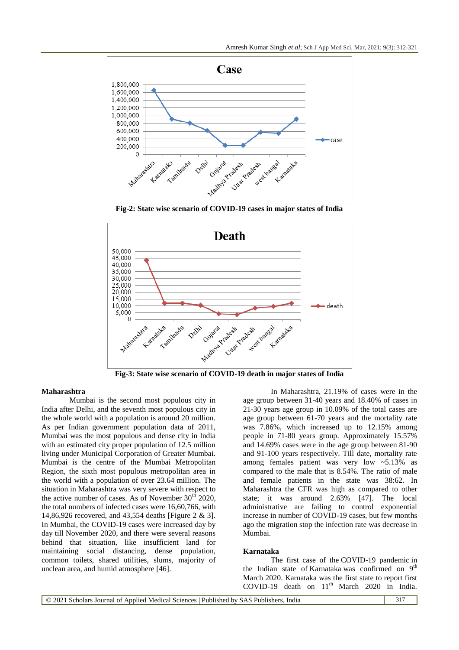

**Fig-2: State wise scenario of COVID-19 cases in major states of India**



**Fig-3: State wise scenario of COVID-19 death in major states of India**

## **Maharashtra**

Mumbai is the second most populous city in India after Delhi, and the seventh most populous city in the whole world with a population is around 20 million. As per Indian government population data of 2011, Mumbai was the most populous and dense city in India with an estimated city proper population of 12.5 million living under Municipal Corporation of Greater Mumbai. Mumbai is the centre of the Mumbai Metropolitan Region, the sixth most populous metropolitan area in the world with a population of over 23.64 million. The situation in Maharashtra was very severe with respect to the active number of cases. As of November  $30<sup>th</sup> 2020$ , the total numbers of infected cases were 16,60,766, with 14,86,926 recovered, and 43,554 deaths [Figure 2 & 3]. In Mumbai, the COVID-19 cases were increased day by day till November 2020, and there were several reasons behind that situation, like insufficient land for maintaining social distancing, dense population, common toilets, shared utilities, slums, majority of unclean area, and humid atmosphere [46].

In Maharashtra, 21.19% of cases were in the age group between 31-40 years and 18.40% of cases in 21-30 years age group in 10.09% of the total cases are age group between 61-70 years and the mortality rate was 7.86%, which increased up to 12.15% among people in 71-80 years group. Approximately 15.57% and 14.69% cases were in the age group between 81-90 and 91-100 years respectively. Till date, mortality rate among females patient was very low ~5.13% as compared to the male that is 8.54%. The ratio of male and female patients in the state was 38:62. In Maharashtra the CFR was high as compared to other state; it was around 2.63% [47]. The local administrative are failing to control exponential increase in number of COVID-19 cases, but few months ago the migration stop the infection rate was decrease in Mumbai.

#### **Karnataka**

The first case of the [COVID-19 pandemic](https://en.wikipedia.org/wiki/COVID-19_pandemic) in the Indian state of [Karnataka](https://en.wikipedia.org/wiki/Karnataka) was confirmed on 9<sup>th</sup> March 2020. Karnataka was the first state to report first COVID-19 death on  $11<sup>th</sup>$  March 2020 in India.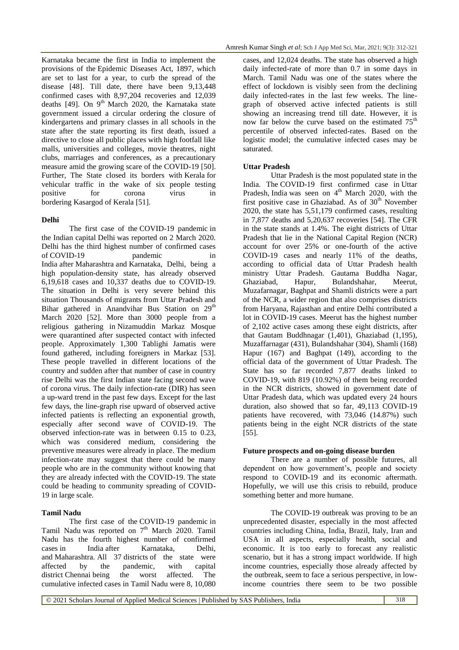Karnataka became the first in India to implement the provisions of the [Epidemic Diseases Act, 1897,](https://en.wikipedia.org/wiki/Epidemic_Diseases_Act,_1897) which are set to last for a year, to curb the spread of the disease [48]. Till date, there have been 9,13,448 confirmed cases with 8,97,204 recoveries and 12,039 deaths [49]. On  $9<sup>th</sup>$  March 2020, the Karnataka state government issued a circular ordering the closure of kindergartens and primary classes in all schools in the state after the state reporting its first death, issued a directive to close all public places with high footfall like malls, universities and colleges, movie theatres, night clubs, marriages and conferences, as a precautionary measure amid the growing scare of the [COVID-19](https://en.wikipedia.org/wiki/Coronavirus) [50]. Further, The State closed its borders with [Kerala](https://en.wikipedia.org/wiki/Kerala) for vehicular traffic in the wake of six people testing positive for corona virus in bordering [Kasargod](https://en.wikipedia.org/wiki/Kasaragod_district) of [Kerala](https://en.wikipedia.org/wiki/Kerala) [51].

## **Delhi**

The first case of the [COVID-19 pandemic](https://en.wikipedia.org/wiki/COVID-19_pandemic) in the Indian capital [Delhi](https://en.wikipedia.org/wiki/Delhi) was reported on 2 March 2020. Delhi has the third highest number of confirmed cases of COVID-19 pandemic in India after [Maharashtra](https://en.wikipedia.org/wiki/COVID-19_pandemic_in_Maharashtra) and [Karnataka,](https://en.wikipedia.org/wiki/COVID-19_pandemic_in_Tamil_Nadu) Delhi, being a high population-density state, has already observed 6,19,618 cases and 10,337 deaths due to COVID-19. The situation in Delhi is very severe behind this situation Thousands of migrants from [Uttar Pradesh](https://en.wikipedia.org/wiki/Uttar_Pradesh) and Bihar gathered in Anandvihar Bus Station on  $29<sup>th</sup>$ March 2020 [52]. More than 3000 people from a religious gathering in Nizamuddin [Markaz Mosque](https://en.wikipedia.org/wiki/Nizamuddin_Markaz_Mosque) were quarantined after suspected contact with infected people. Approximately 1,300 Tablighi Jamatis were found gathered, including foreigners in Markaz [53]. These people travelled in different locations of the country and sudden after that number of case in country rise Delhi was the first Indian state facing second wave of corona virus. The daily infection-rate (DIR) has seen a up-ward trend in the past few days. Except for the last few days, the line-graph rise upward of observed active infected patients is reflecting an exponential growth, especially after second wave of COVID-19. The observed infection-rate was in between 0.15 to 0.23, which was considered medium, considering the preventive measures were already in place. The medium infection-rate may suggest that there could be many people who are in the community without knowing that they are already infected with the COVID-19. The state could be heading to community spreading of COVID-19 in large scale.

## **Tamil Nadu**

The first case of the [COVID-19 pandemic](https://en.wikipedia.org/wiki/COVID-19_pandemic) in [Tamil Nadu](https://en.wikipedia.org/wiki/Tamil_Nadu) was reported on  $7<sup>th</sup>$  March 2020. Tamil Nadu has the fourth highest number of confirmed cases [in India](https://en.wikipedia.org/wiki/COVID-19_pandemic_in_India) after Karnataka, Delhi, and Maharashtra. [All 37](https://en.wikipedia.org/wiki/COVID-19_pandemic_in_Tamil_Nadu#By_district) [districts](https://en.wikipedia.org/wiki/List_of_districts_of_Tamil_Nadu) of the state were affected by the pandemic, with capital district [Chennai](https://en.wikipedia.org/wiki/Chennai_district) being the worst affected. The cumulative infected cases in Tamil Nadu were 8, 10,080

cases, and 12,024 deaths. The state has observed a high daily infected-rate of more than 0.7 in some days in March. Tamil Nadu was one of the states where the effect of lockdown is visibly seen from the declining daily infected-rates in the last few weeks. The linegraph of observed active infected patients is still showing an increasing trend till date. However, it is now far below the curve based on the estimated  $75<sup>th</sup>$ percentile of observed infected-rates. Based on the logistic model; the cumulative infected cases may be saturated.

## **Uttar Pradesh**

Uttar Pradesh is the most populated state in the India. The [COVID-19 first confirmed case](https://en.wikipedia.org/wiki/COVID-19_pandemic) in [Uttar](https://en.wikipedia.org/wiki/Uttar_Pradesh)  [Pradesh,](https://en.wikipedia.org/wiki/Uttar_Pradesh) [India](https://en.wikipedia.org/wiki/India) was seen on  $4<sup>th</sup>$  March 2020, with the first positive case in [Ghaziabad.](https://en.wikipedia.org/wiki/Ghaziabad) As of  $30<sup>th</sup>$  November 2020, the state has 5,51,179 confirmed cases, resulting in 7,877 deaths and 5,20,637 recoveries [\[54\]](https://en.wikipedia.org/wiki/COVID-19_pandemic_in_Uttar_Pradesh#cite_note-mohfw-1). The CFR in the state stands at 1.4%. The eight districts of Uttar Pradesh that lie in the National Capital Region (NCR) account for over 25% or one-fourth of the active COVID-19 cases and nearly 11% of the deaths, according to official data of Uttar Pradesh health ministry Uttar Pradesh. Gautama Buddha Nagar, Ghaziabad, Hapur, Bulandshahar, Meerut, Muzafarnagar, Baghpat and Shamli districts were a part of the NCR, a wider region that also comprises districts from Haryana, Rajasthan and entire Delhi contributed a lot in COVID-19 cases. Meerut has the highest number of 2,102 active cases among these eight districts, after that Gautam Buddhnagar (1,401), Ghaziabad (1,195), Muzaffarnagar (431), Bulandshahar (304), Shamli (168) Hapur (167) and Baghpat (149), according to the official data of the government of Uttar Pradesh. The State has so far recorded 7,877 deaths linked to COVID-19, with 819 (10.92%) of them being recorded in the NCR districts, showed in government date of Uttar Pradesh data, which was updated every 24 hours duration, also showed that so far, 49,113 COVID-19 patients have recovered, with 73,046 (14.87%) such patients being in the eight NCR districts of the state [55].

## **Future prospects and on-going disease burden**

There are a number of possible futures, all dependent on how government's, people and society respond to COVID-19 and its economic aftermath. Hopefully, we will use this crisis to rebuild, produce something better and more humane.

The COVID-19 outbreak was proving to be an unprecedented disaster, especially in the most affected countries including China, India, Brazil, Italy, Iran and USA in all aspects, especially health, social and economic. It is too early to forecast any realistic scenario, but it has a strong impact worldwide. If high income countries, especially those already affected by the outbreak, seem to face a serious perspective, in lowincome countries there seem to be two possible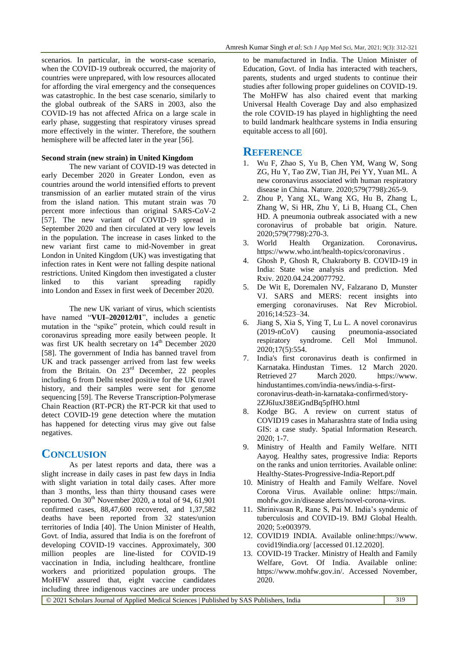scenarios. In particular, in the worst-case scenario, when the COVID-19 outbreak occurred, the majority of countries were unprepared, with low resources allocated for affording the viral emergency and the consequences was catastrophic. In the best case scenario, similarly to the global outbreak of the SARS in 2003, also the COVID-19 has not affected Africa on a large scale in early phase, suggesting that respiratory viruses spread more effectively in the winter. Therefore, the southern hemisphere will be affected later in the year [56].

## **Second strain (new strain) in United Kingdom**

The new variant of COVID-19 was detected in early December 2020 in Greater London, even as countries around the world intensified efforts to prevent transmission of an earlier mutated strain of the virus from the island nation. This mutant strain was 70 percent more infectious than original SARS-CoV-2 [57]. The new variant of COVID-19 spread in September 2020 and then circulated at very low levels in the population. The increase in cases linked to the new variant first came to mid-November [in great](https://en.wikipedia.org/wiki/Public_Health_England)  [London in United](https://en.wikipedia.org/wiki/Public_Health_England) Kingdom (UK) was investigating that infection rates in Kent were not falling despite national restrictions. United Kingdom then investigated a cluster linked to this variant spreading rapidly into [London](https://en.wikipedia.org/wiki/London) and [Essex](https://en.wikipedia.org/wiki/Essex) in first week of December 2020.

The new UK variant of virus, which scientists have named "VUI-202012/01", includes a genetic mutation in the "spike" protein, which could result in coronavirus spreading more easily between people. It was first UK health secretary on  $14<sup>th</sup>$  December 2020 [58]. The government of India has banned travel from UK and track passenger arrived from last few weeks from the Britain. On  $23^{\text{rd}}$  December, 22 peoples including 6 from Delhi tested positive for the UK travel history, and their samples were sent for genome sequencing [59]. The Reverse Transcription-Polymerase Chain Reaction (RT-PCR) the RT-PCR kit that used to detect COVID-19 gene detection where the mutation has happened for detecting virus may give out false negatives.

## **CONCLUSION**

As per latest reports and data, there was a slight increase in daily cases in past few days in India with slight variation in total daily cases. After more than 3 months, less than thirty thousand cases were reported. On  $30<sup>th</sup>$  November 2020, a total of 94, 61,901 confirmed cases, 88,47,600 recovered, and 1,37,582 deaths have been reported from 32 states/union territories of India [40]. The Union Minister of Health, Govt. of India, assured that India is on the forefront of developing COVID-19 vaccines. Approximately, 300 million peoples are line-listed for COVID-19 vaccination in India, including healthcare, frontline workers and prioritized population groups. The MoHFW assured that, eight vaccine candidates including three indigenous vaccines are under process

to be manufactured in India. The Union Minister of Education, Govt. of India has interacted with teachers, parents, students and urged students to continue their studies after following proper guidelines on COVID-19. The MoHFW has also chaired event that marking Universal Health Coverage Day and also emphasized the role COVID-19 has played in highlighting the need to build landmark healthcare systems in India ensuring equitable access to all [60].

## **REFERENCE**

- 1. Wu F, Zhao S, Yu B, Chen YM, Wang W, Song ZG, Hu Y, Tao ZW, Tian JH, Pei YY, Yuan ML. A new coronavirus associated with human respiratory disease in China. Nature. 2020;579(7798):265-9.
- 2. Zhou P, Yang XL, Wang XG, Hu B, Zhang L, Zhang W, Si HR, Zhu Y, Li B, Huang CL, Chen HD. A pneumonia outbreak associated with a new coronavirus of probable bat origin. Nature. 2020;579(7798):270-3.
- 3. World Health Organization. Coronavirus**.**  <https://www.who.int/health-topics/coronavirus> .
- 4. Ghosh P, Ghosh R, Chakraborty B. COVID-19 in India: State wise analysis and prediction. Med Rxiv. 2020.04.24.20077792.
- 5. De Wit E, Doremalen NV, Falzarano D, Munster VJ. SARS and MERS: recent insights into emerging coronaviruses. Nat Rev Microbiol. 2016;14:523–34.
- 6. Jiang S, Xia S, Ying T, Lu L. A novel coronavirus (2019-nCoV) causing pneumonia-associated respiratory syndrome. Cell Mol Immunol. 2020;17(5):554.
- 7. [India's first coronavirus death is confirmed in](https://www.hindustantimes.com/india-news/india-s-first-coronavirus-death-in-karnataka-confirmed/story-2ZJ6IuxJ38EiGndBq5pfHO.html)  [Karnataka.](https://www.hindustantimes.com/india-news/india-s-first-coronavirus-death-in-karnataka-confirmed/story-2ZJ6IuxJ38EiGndBq5pfHO.html) Hindustan Times. 12 March 2020. Retrieved 27 March 2020. https://www. hindustantimes.com/india-news/india-s-firstcoronavirus-death-in-karnataka-confirmed/story-2ZJ6IuxJ38EiGndBq5pfHO.html
- 8. Kodge BG. A review on current status of COVID19 cases in Maharashtra state of India using GIS: a case study. Spatial Information Research. 2020; 1-7.
- 9. Ministry of Health and Family Welfare. NITI Aayog. Healthy sates, progressive India: Reports on the ranks and union territories. Available online: Healthy-States-Progressive-India-Report.pdf
- 10. Ministry of Health and Family Welfare. Novel Corona Virus. Available online: https://main. mohfw.gov.in/disease alerts/novel-corona-virus.
- 11. Shrinivasan R, Rane S, Pai M. India's syndemic of tuberculosis and COVID-19. BMJ Global Health. 2020; 5:e003979.
- 12. COVID19 INDIA. Available online:https://www. covid19india.org/ [accessed 01.12.2020].
- 13. COVID-19 Tracker. Ministry of Health and Family Welfare, Govt. Of India. Available online: https://www.mohfw.gov.in/. Accessed November, 2020.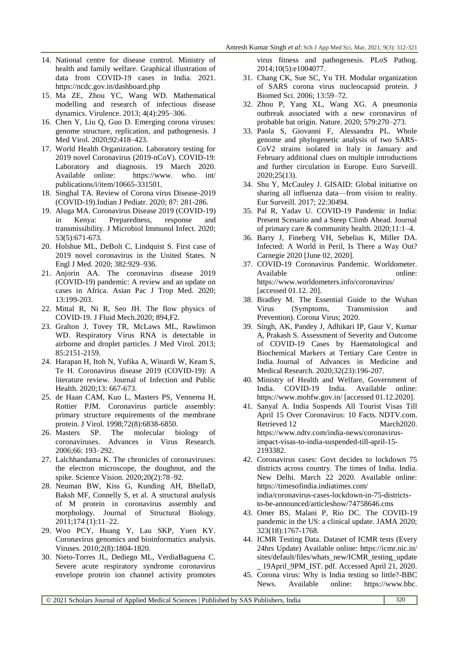- 14. National centre for disease control. Ministry of health and family welfare. Graphical illustration of data from COVID-19 cases in India. 2021. https://ncdc.gov.in/dashboard.php
- 15. Ma ZE, Zhou YC, Wang WD. Mathematical modelling and research of infectious disease dynamics. Virulence. 2013; 4(4):295–306.
- 16. Chen Y, Liu Q, Guo D. Emerging corona viruses: genome structure, replication, and pathogenesis. J Med Virol. 2020;92:418–423.
- 17. World Health Organization. Laboratory testing for 2019 novel Coronavirus (2019-nCoV). COVID-19: Laboratory and diagnosis. 19 March 2020. Available online: https://www. who. int/ publications/i/item/10665-331501.
- 18. Singhal TA. Review of Corona virus Disease-2019 (COVID-19).Indian J Pediatr. 2020; 87: 281-286.
- 19. Aluga MA. Coronavirus Disease 2019 (COVID-19) in Kenya: Preparedness, response and transmissibility. J Microbiol Immunol Infect. 2020; 53(5):671-673.
- 20. Holshue ML, DeBolt C, Lindquist S. First case of 2019 novel coronavirus in the United States. N Engl J Med. 2020; 382:929–936.
- 21. Anjorin AA. The coronavirus disease 2019 (COVID-19) pandemic: A review and an update on cases in Africa. Asian Pac J Trop Med. 2020; 13:199-203.
- 22. Mittal R, Ni R, Seo JH. The flow physics of COVID-19. J Fluid Mech.2020; 894,F2.
- 23. Gralton J, Tovey TR, McLaws ML, Rawlinson WD. Respiratory Virus RNA is detectable in airborne and droplet particles. J Med Virol. 2013; 85:2151-2159.
- 24. Harapan H, Itoh N, Yufika A, Winardi W, Keam S, Te H*.* Coronavirus disease 2019 (COVID-19): A literature review. Journal of Infection and Public Health. 2020;13: 667-673.
- 25. de Haan CAM, Kuo L, Masters PS, Vennema H, Rottier PJM. Coronavirus particle assembly: primary structure requirements of the membrane protein. J Virol. 1998;72(8):6838-6850.
- 26. Masters SP. The molecular biology of coronaviruses. Advances in Virus Research. 2006;66: 193–292.
- 27. Lalchhandama K. [The chronicles of coronaviruses:](https://www.sciencevision.org/issue/45/article/296)  [the electron microscope, the doughnut, and the](https://www.sciencevision.org/issue/45/article/296)  [spike.](https://www.sciencevision.org/issue/45/article/296) Science Vision. 2020;20(2):78–92.
- 28. Neuman BW, Kiss G, Kunding AH, BhellaD, Baksh MF, Connelly S, et al. [A structural analysis](https://www.ncbi.nlm.nih.gov/pmc/articles/PMC4486061)  [of M protein in coronavirus assembly and](https://www.ncbi.nlm.nih.gov/pmc/articles/PMC4486061)  [morphology](https://www.ncbi.nlm.nih.gov/pmc/articles/PMC4486061)*.* Journal of Structural Biology. 2011;174 (1):11–22.
- 29. Woo PCY, Huang Y, Lau SKP, Yuen KY. Coronavirus genomics and bioinformatics analysis. Viruses. 2010;2(8):1804-1820.
- 30. Nieto-Torres JL, Dediego ML, VerdiaBaguena C. Severe acute respiratory syndrome coronavirus envelope protein ion channel activity promotes

virus fitness and pathogenesis. PLoS Pathog. 2014;10(5):e1004077.

- 31. Chang CK, Sue SC, Yu TH. Modular organization of SARS corona virus nucleocapsid protein. J Biomed Sci. 2006; 13:59–72.
- 32. Zhou P, Yang XL, Wang XG. A pneumonia outbreak associated with a new coronavirus of probable bat origin. Nature. 2020; 579:270–273.
- 33. Paola S, Giovanni F, Alessandra PL. Whole genome and phylogenetic analysis of two SARS-CoV2 strains isolated in Italy in January and February additional clues on multiple introductions and further circulation in Europe. Euro Surveill. 2020;25(13).
- 34. Shu Y, McCauley J. GISAID: Global initiative on sharing all influenza data—from vision to reality. Eur Surveill. 2017; 22:30494.
- 35. Pal R, Yadav U. COVID-19 Pandemic in India: Present Scenario and a Steep Climb Ahead. Journal of primary care & community health. 2020;11:1–4.
- 36. Barry J, Fineberg VH, Sebelius K, Miller DA. Infected: A World in Peril, Is There a Way Out? Carnegie 2020 [June 02, 2020].
- 37. COVID-19 Coronavirus Pandemic. Worldometer. Available online: https://www.worldometers.info/coronavirus/ [accessed 01.12. 20].
- 38. Bradley M. The Essential Guide to the Wuhan Virus (Symptoms, Transmission and Prevention). Corona Virus; 2020.
- 39. Singh, AK, Pandey J, Adhikari IP, Gaur V, Kumar A, Prakash S*.* Assessment of Severity and Outcome of COVID-19 Cases by Haematological and Biochemical Markers at Tertiary Care Centre in India. Journal of Advances in Medicine and Medical Research. 2020;32(23):196-207.
- 40. Ministry of Health and Welfare, Government of India. COVID-19 India. Available online: https://www.mohfw.gov.in/ [accessed 01.12.2020].
- 41. Sanyal A. India Suspends All Tourist Visas Till April 15 Over Coronavirus: 10 Facts. NDTV.com. Retrieved 12 March2020. [https://www.ndtv.com/india-news/coronavirus](https://www.ndtv.com/india-news/coronavirus-impact-visas-to-india-suspended-till-april-15-2193382)[impact-visas-to-india-suspended-till-april-15-](https://www.ndtv.com/india-news/coronavirus-impact-visas-to-india-suspended-till-april-15-2193382) [2193382.](https://www.ndtv.com/india-news/coronavirus-impact-visas-to-india-suspended-till-april-15-2193382)
- 42. Coronavirus cases: Govt decides to lockdown 75 districts across country. The times of India. India. New Delhi. March 22 2020. Available online: https://timesofindia.indiatimes.com/ india/coronavirus-cases-lockdown-in-75-districtsto-be-announced/articleshow/74758646.cms
- 43. Omer BS, Malani P, Rio DC. The COVID-19 pandemic in the US: a clinical update. JAMA 2020; 323(18):1767-1768.
- 44. ICMR Testing Data. Dataset of ICMR tests (Every 24hrs Update) Available online: https://icmr.nic.in/ sites/default/files/whats\_new/ICMR\_testing\_update \_ 19April\_9PM\_IST. pdf. Accessed April 21, 2020.
- 45. Corona virus: Why is India testing so little?-BBC News. Available online: https://www.bbc.